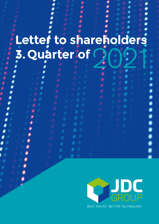# **Letter to shareholders 3.Quarter of** 2021

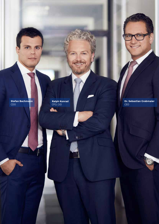**Stefan Bachmann** CDO

**ADY** 

**Ralph Konrad** CFO, CIO

GST.

 $\circ$  .

**JDC GROUP** FINANCIAL SERVICES | Annual Report 2007 **2**

**Dr. Sebastian Grabmaier** CEO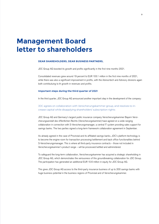# **Management Board letter to shareholders**

#### **DEAR SHAREHOLDERS, DEAR BUSINESS PARTNERS,**

JDC Group AG boosted its growth and profits significantly in the first nine months 2021.

Consolidated revenues grew around 19 percent to EUR 103.1 million in the first nine months of 2021, while there was also a significant improvement in profits, with the Advisortech and Advisory divisions again both contributuing to th growth in revenues and profits.

#### **Important steps during the third quarter of 2021**

In the third quarter, JDC Group AG announced another important step in the development of the company:

#### JDC agrees on collaboration with Versicherungskammer group, and resolves to increase capital while disapplying shareholders' subscription rights

JDC Group AG and Germany's largest public insurance company Versicherungskammer Bayern Versicherungsanstalt des öffentlichen Rechts (Versicherungskammer) have agreed on a wide-ranging collaboration in connection with S-Versicherungsmanager, a central IT system providing sales support for savings banks. The two parties signed a long-term framework collaboration agreement in September.

As already agreed in the case of Provinzial and its affiliated savings banks, JDC's platform technology is to become the engine room for transaction processing/settlement and back office functionalities behind S-Versicherungsmanager. This is where all third-party insurance contracts – those not included in Versicherungskammer's product range – will be processed/settled and administered.

To safeguard the long-term collaboration, Versicherungskammer has acquired a strategic shareholding in JDC Group AG, which demonstrates the seriousness of this groundbreaking collaboration for JDC Group. The participation has generated an additional EUR 10.6 million in equity for JDC Group AG.

This gives JDC Group AG access to the third-party insurance business of up to 200 savings banks with huge business potential in the business regions of Provinzial and of Versicherungskammer.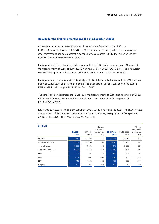#### **Results for the first nine months and the third quarter of 2021**

Consolidated revenues increased by around 19 percent in the first nine months of 2021, to EUR 103.1 million (first nine month 2020: EUR 86.5 million). In the third quarter, there was an even steeper increase of around 25 percent in revenues, which amounted to EUR 34.4 million as against EUR 27.7 million in the same quarter of 2020.

Earnings before interest, tax, depreciation and amortisation (EBITDA) were up by around 45 percent in the first nine month of 2021, at kEUR 5,349 (first nine month of 2020: kEUR 3,697). The third quarter saw EBITDA leap by around 79 percent to kEUR 1,006 (third quarter of 2020: kEUR 563).

Earnings before interest and tax (EBIT) multiply to kEUR 1,543 in the first nine month of 2021 (first nine month of 2020: kEUR 286). In the third quarter there was also a significant year-on-year increase in EBIT, at kEUR –371 compared with kEUR –661 in 2020.

The consolidated profit increased to kEUR 188 in the first nine month of 2021 (first nine month of 2020: kEUR –857). The consolidated profit for the third quarter rose to kEUR –792, compared with kEUR –1.047 in 2020.

Equity was EUR 27.5 million as at 30 September 2021. Due to a significant increase in the balance sheet total as a result of the first-time consolidation of acquired companies, the equity ratio is 26.3 percent (31 December 2020: EUR 27.3 million and 29.7 percent).

| in kEUR                 | Q3/2021<br><b>kEUR</b> | Q3/2020<br><b>kEUR</b> | Changes<br>compared to<br>previous year<br>in $%$ | 30/09/2021<br><b>kEUR</b> | 30/09/2020<br><b>kEUR</b> | Changes<br>compared to<br>previous year<br>in $%$ |
|-------------------------|------------------------|------------------------|---------------------------------------------------|---------------------------|---------------------------|---------------------------------------------------|
| Revenues                | 34,440                 | 27,662                 | 24.5                                              | 103,051                   | 86.482                    | 19.2                                              |
| - thereof Advisortech   | 27,879                 | 22,138                 | 25.9                                              | 84,328                    | 71,703                    | 17.6                                              |
| - thereof Advisory      | 8,885                  | 7,292                  | 21.8                                              | 26,176                    | 21,290                    | 22.9                                              |
| - thereof Holding/Cons. | $-2,324$               | $-1,768$               | $-31.4$                                           | $-7,453$                  | $-6,511$                  | $-14.5$                                           |
| <b>EBITDA</b>           | 1,006                  | 563                    | 78.7                                              | 5,349                     | 3,697                     | 44.7                                              |
| <b>EBIT</b>             | $-371$                 | $-661$                 | 43.9                                              | 1,543                     | 286                       | >100                                              |
| <b>EBT</b>              | $-749$                 | $-1,052$               | 28.8                                              | 425                       | $-832$                    | >100                                              |
| Net profit              | $-792$                 | $-1,047$               | 24.4                                              | 188                       | $-857$                    | >100                                              |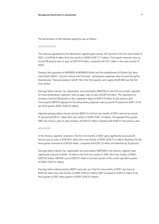The performance of the individual segments was as follows:

#### ADVISORTECH

The revenues generated by the Advisortech segment grew around 18.0 percent in the first nine months of 2021, to EUR 84.3 million (first nine months of 2020: EUR 71.7 million). Third quarter revenues were up around 26 percent year on year, at EUR 27.9 million, compared with 22.1 million in the same quarter of 2020.

Owing to the acquisition of MORGEN & MORGEN GmbH and the establishment of Einfach Gut Versichert GmbH (EGV) – the joint venture with Provinzial – extraordinary expenses were incurred during the financial year. These amounted to kEUR 150 in the third quarter, and roughly kEUR 350 over the first nine months.

Earnings before interest, tax, depreciation and amortisation (EBITDA) for the first nine months, adjusted for these extraordinary expenses, were up again year on year at EUR 5.9 million. This represents an increase of around 28 percent on the comparative figure of EUR 4.6 million for the previous year. Third-quarter EBITDA adjusted for the extraordinary expenses rose by around 37 percent to EUR 1.2 million (third quarter 2020: EUR 0.9 million).

Adjusted earnings before interest and tax (EBIT) for the first nine months of 2021 were up by around 61 percent at EUR 3.1 million (first nine months of 2020: EUR 1.9 million). The adjusted third-quarter EBIT also shows a year-on-year increase, at EUR 0.2 million compared with EUR 0 in the previous year.

#### ADVISORY

In the Advisory segment, revenues in the first nine months of 2021 grew significantly by around 23 percent year-on-year to EUR 26.2 million (first nine months of 2020: EUR 21.3 million). Revenues for the third quarter increased to EUR 8.9 million, compared with EUR 7.3 million and therefore by 22 percent.

Earnings before interest, tax, depreciation and amortisation (EBITDA) in the Advisory segment have significantly improved to EUR 1.6 million in the first nine months of 2021 (first nine months of 2020: EUR 0.6 million). EBITDA rose to EUR 0.7 million in the third quarter of the current year (third quarter of 2020: EUR 0.2 million).

Earnings before interest and tax (EBIT) were also up in the first nine months of 2021 and stood at EUR 0.8 million (first nine months of 2020: EUR 0.0 million). EBIT increased to EUR 0.4 million in the third quarter of 2021 (third quarter of 2020: EUR 0.0 million).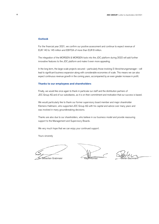#### **Outlook**

For the financial year 2021, we confirm our positive assessment and continue to expect revenue of EUR 140 to 145 million and EBITDA of more than EUR 8 million.

The integration of the MORGEN & MORGEN tools into the JDC platform during 2022 will add further innovative features to the JDC platform and make it even more appealing.

In the long term, the large-scale projects secured – particularly those involving S-Versicherungsmanager – will lead to significant business expansion along with considerable economies of scale. This means we can also expect continuous revenue growth in the coming years, accompanied by an even greater increase in profit.

#### **Thanks to our employees and shareholders**

Finally, we would like once again to thank in particular our staff and the distribution partners of JDC Group AG and of our subsidiaries, as it is on their commitment and motivation that our success is based.

We would particularly like to thank our former supervisory board member and major shareholder Klemens Hallmann, who supported JDC Group AG with his capital and advice over many years and was involved in many groundbreaking decisions.

Thanks are also due to our shareholders, who believe in our business model and provide reassuring support to the Management and Supervisory Boards.

We very much hope that we can enjoy your continued support.

Yours sincerely

Sebastian Grabmaier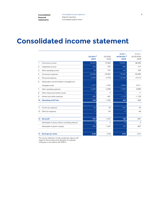**Consolidated financial statements**

# **Consolidated income statement**

|     |                                                      | $03/2021*$<br><b>kEUR</b> | Q3/2020<br><b>kEUR</b> | $01/01/-$<br>30/09/2021*<br><b>kEUR</b> | $01/01/-$<br>30/09/2020<br><b>kEUR</b> |
|-----|------------------------------------------------------|---------------------------|------------------------|-----------------------------------------|----------------------------------------|
| 1.  | Commission income                                    | 34,440                    | 27,662                 | 103,051                                 | 86,482                                 |
| 2.  | Capitalised services                                 | 272                       | 297                    | 850                                     | 777                                    |
| 3.  | Other operating income                               | 65                        | 272                    | 102                                     | 420                                    |
| 4.  | Commission expenses                                  | $-24,889$                 | $-20,822$              | $-75,262$                               | $-63,390$                              |
| 5.  | Personnel expenses                                   | $-5,943$                  | $-4,778$               | $-15,763$                               | $-13,712$                              |
| 6.  | Depreciation and amortisation of tangible and        |                           |                        |                                         |                                        |
|     | intangible assets                                    | $-1,377$                  | $-1,224$               | $-3,806$                                | $-3,411$                               |
| 7.  | Other operating expenses                             | $-2,939$                  | $-2,068$               | $-7,629$                                | $-6,880$                               |
| 8.  | Other interest and similar income                    | 4                         | $\Omega$               | 5                                       | 11                                     |
| 9.  | Interest and similar expenses                        | $-382$                    | $-391$                 | $-1,123$                                | $-1,129$                               |
| 10. | <b>Operating profit/loss</b>                         | $-749$                    | $-1,052$               | 425                                     | $-832$                                 |
|     |                                                      |                           |                        |                                         |                                        |
| 11. | Income tax expenses                                  | $-42$                     | 30                     | $-234$                                  | 24                                     |
| 12. | Other tax expenses                                   | $-1$                      | $-25$                  | $-3$                                    | $-49$                                  |
|     |                                                      |                           |                        |                                         |                                        |
|     | 13. Net profit                                       | $-792$                    | $-1,047$               | 188                                     | $-857$                                 |
|     | attributable to shares without controlling interests | $-9$                      | $\Omega$               | $-9$                                    | $\Omega$                               |
|     | attributable to parent company                       | $-783$                    | $-1,047$               | 197                                     | $-857$                                 |
|     |                                                      |                           |                        |                                         |                                        |
|     | 14. Earnings per share                               | $-0.06$                   | $-0.08$                | 0.02                                    | $-0.07$                                |

\*The income statement contains preliminary figures with regard to the purchase price allocation for acquired companies in accordance with IFRS 3.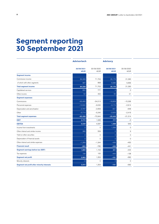# **Segment reporting 30 September 2021**

|                                             | <b>Advisortech</b>        |                    | <b>Advisory</b>           |                    |  |
|---------------------------------------------|---------------------------|--------------------|---------------------------|--------------------|--|
|                                             |                           |                    |                           |                    |  |
|                                             | 30/09/2021<br><b>kEUR</b> | 30/09/2020<br>kEUR | 30/09/2021<br><b>kEUR</b> | 30/09/2020<br>kEUR |  |
| Segment income                              |                           |                    |                           |                    |  |
| Commission income                           | 84,328                    | 71,703             | 26,176                    | 21,290             |  |
| of which with other segments                | 967                       | 858                | 6,586                     | 5,656              |  |
| <b>Total segment income</b>                 | 84,328                    | 71,703             | 26,176                    | 21,290             |  |
| Capitalised services                        | 850                       | 777                |                           | $\overline{0}$     |  |
| Other income                                | 52                        | 402                | 50                        | 21                 |  |
| <b>Segment expenses</b>                     |                           |                    |                           |                    |  |
| Commissions                                 | $-63,455$                 | $-54,013$          | $-18,829$                 | $-15,336$          |  |
| Personnel expenses                          | $-10,522$                 | $-9,032$           | $-3,174$                  | $-2,914$           |  |
| Depreciation and amortisation               | $-2,767$                  | $-2,659$           | $-821$                    | $-648$             |  |
| Other                                       | $-5,714$                  | $-5,240$           | $-2,625$                  | $-2,416$           |  |
| <b>Total segment expenses</b>               | $-82,458$                 | $-70,944$          | $-25,449$                 | $-21,314$          |  |
| <b>EBIT</b>                                 | 2,772                     | 1,938              | 777                       | $-3$               |  |
| <b>EBITDA</b>                               | 5,539                     | 4,597              | 1,598                     | 645                |  |
| Income from investments                     |                           | $\circ$            | 1,299                     | $\overline{0}$     |  |
| Other interest and similar income           | 366                       | 559                |                           | 9                  |  |
| Yield on other securities                   |                           | $\circ$            |                           | $\circ$            |  |
| Depreciation of financial assets            |                           | $\circ$            |                           | $\overline{0}$     |  |
| Other interest and similar expenses         | $-1,269$                  | $-1,344$           | $-436$                    | $-450$             |  |
| <b>Financial result</b>                     | $-903$                    | $-785$             | $-436$                    | $-441$             |  |
| Segment earnings before tax (EBT)           | 1,869                     | 1,153              | 341                       | $-444$             |  |
| Tax expenses                                | 194                       | 100                | $-442$                    | $-138$             |  |
| Segment net profit                          | 2,063                     | 1,253              | $-101$                    | $-582$             |  |
| Minority interests                          |                           | $\circ$            |                           | $\overline{0}$     |  |
| Segment net profit after minority interests | 2,072                     | 1,253              | $-101$                    | $-582$             |  |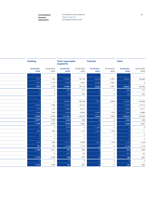**financial statements**

**Consolidated Consolidated income statement 9 9** Segment reporting Consolidated balance sheet

| <b>Holding</b>            |                    | <b>Total reportable</b><br>segments |                    | <b>Transfer</b>           |                     | <b>Total</b>       |                                            |
|---------------------------|--------------------|-------------------------------------|--------------------|---------------------------|---------------------|--------------------|--------------------------------------------|
| 30/09/2021<br><b>kEUR</b> | 30/09/2020<br>kEUR | 30/09/2021<br><b>kEUR</b>           | 30/09/2020<br>kEUR | 30/09/2021<br><b>kEUR</b> | 30/09/2020<br>kEUR  | 30/09/2021<br>kEUR | 30/09/2020<br>$\mathsf{kEUR}$              |
|                           |                    |                                     |                    |                           |                     |                    |                                            |
| 1,577                     | 1,150              | 112,081                             | 94,143             | $-9,030$                  | $-7,661$            | 103,051            | 86,482                                     |
| 1,477                     | 1,147              | 9,030                               | 7,661              | $-9,030$                  | $-7,661$            | -C                 | $\circ$                                    |
| 1,577                     | 1,150              | 112,081                             | 94,143             | $-9,030$                  | $-7,661$            | 103,051            | 86,482                                     |
|                           | $\circ$            | 850                                 | 777                | $\Omega$                  | $\circ$             | 850                | 777                                        |
|                           | $\circ$            | $102$                               | 423                | $\Omega$                  | $-3$                | 102                | 420                                        |
|                           |                    |                                     |                    |                           |                     |                    |                                            |
|                           | $\circ$            | $-82,284$                           | $-69,349$          | 7,022                     | 5,959               | $-75,262$          | $-63,390$                                  |
| $-2,067$                  | $-1,766$           | $-15,763$                           | $-13,712$          | $\Omega$                  | $\circ$             | $-15,763$          | $-13,712$                                  |
| $-218$                    | $-104$             | $-3,806$                            | $-3,411$           | $\Omega$                  | $\circ$             | $-3,806$           | $-3,411$                                   |
| $-1,299$                  | $-929$             | $-9,638$                            | $-8,585$           | 2,008                     | 1,705               | $-7,630$           | $-6,880$                                   |
| $-3,584$                  | $-2,799$           | $-111,491$                          | $-95,057$          | 9,030                     | 7,664               | $-102,461$         | $-87,393$                                  |
| $-2,007$                  | $-1,649$           | 1,543                               | 286                | $\overline{0}$            | $\circ$             | 1,543              | 286                                        |
| $-1,789$                  | $-1,545$           | 5,349                               | 3,697              | $\Omega$                  | $\circ$             | 5,349              | 3,697                                      |
|                           | $\circ$            | 1,299                               | $\circ$            | $-1,299$                  | $\circ$             | $\cup$             | $\mathsf{O}\xspace$                        |
| 663                       | 603<br>$\circ$     | 1,029                               | 1,171<br>$\circ$   | $-1,024$                  | $-1,160$<br>$\circ$ |                    | 11                                         |
|                           | $\circ$            | $\Omega$<br>$\Omega$                | $\circ$            | $\cap$                    | $\circ$             | $\Omega$           | $\mathsf{O}\xspace$<br>$\mathsf{O}\xspace$ |
| $-442$                    | $-495$             | $-2,147$                            | $-2,289$           | $\Omega$<br>1,024         | 1,160               | $-1,123$           |                                            |
| 221                       | 108                | $-1,118$                            | $-1,118$           | $\mathbf{0}$              | $\circ$             | $-1,118$           | $-1,129$<br>$-1,118$                       |
| $-1,786$                  | $-1,541$           | 424                                 | $-832$             | $\Omega$                  | $\circ$             | 424                | $-832$                                     |
| 11                        | 13                 | $-237$                              | $-25$              | $\cap$                    | $\circ$             | $-237$             | $-25$                                      |
| $-1,775$                  | $-1,528$           | 188                                 | $-857$             | $\Omega$                  | $\circ$             | 188                | $-857$                                     |
|                           | $\circ$            | $-9$                                | $\circ$            | $\cap$                    | $\circ$             | $-9$               | $\mathsf{O}\xspace$                        |
| $-1,775$                  | $-1,528$           | 197                                 | $-857$             | $\mathbf{0}$              | $\circ$             | 197                | $-857$                                     |
|                           |                    |                                     |                    |                           |                     |                    |                                            |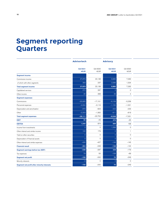## **Segment reporting Quarters**

|                                             | Advisortech            |                 | <b>Advisory</b> |                 |  |
|---------------------------------------------|------------------------|-----------------|-----------------|-----------------|--|
|                                             |                        |                 |                 |                 |  |
|                                             | Q3/2021<br><b>kEUR</b> | Q3/2020<br>kEUR | Q3/2021<br>kEUR | Q3/2020<br>kEUR |  |
| Segment income                              |                        |                 |                 |                 |  |
| Commission income                           | 27,879                 | 22,138          | 8,885           | 7,292           |  |
| of which with other segments                | 359                    | 237             | 2,066           | 1,534           |  |
| <b>Total segment income</b>                 | 27,879                 | 22,138          | 8,885           | 7,292           |  |
| Capitalised services                        | 272                    | 297             |                 | $\overline{0}$  |  |
| Other income                                | 26                     | 268             | 39              | $\overline{4}$  |  |
| <b>Segment expenses</b>                     |                        |                 |                 |                 |  |
| Commissions                                 | $-20,925$              | $-17,151$       | $-6,159$        | $-5,258$        |  |
| Personnel expenses                          | $-4,004$               | $-3,116$        | $-1,155$        | $-1,021$        |  |
| Depreciation and amortisation               | $-979$                 | $-923$          | $-323$          | $-233$          |  |
| Other                                       | $-2,203$               | $-1,562$        | $-911$          | $-819$          |  |
| <b>Total segment expenses</b>               | $-28,111$              | $-22,752$       | $-8,548$        | $-7,331$        |  |
| <b>EBIT</b>                                 | 66                     | $-49$           | 376             | $-35$           |  |
| <b>EBITDA</b>                               | 1,045                  | 874             | 699             | 198             |  |
| Income from investments                     |                        | $\circ$         | 1,299           | $\circ$         |  |
| Other interest and similar income           | 122                    | 179             |                 | $\overline{1}$  |  |
| Yield on other securities                   |                        | $\circ$         |                 | $\overline{0}$  |  |
| Depreciation of financial assets            |                        | $\circ$         |                 | $\circ$         |  |
| Other interest and similar expenses         | $-426$                 | $-427$          | $-148$          | $-145$          |  |
| <b>Financial result</b>                     | $-304$                 | $-248$          | $-148$          | $-144$          |  |
| Segment earnings before tax (EBT)           | $-238$                 | $-297$          | 228             | $-179$          |  |
| Tax expenses                                | -79                    | 55              | $-158$          | $-69$           |  |
| Segment net profit                          | $-159$                 | $-242$          | 70              | $-249$          |  |
| Minority interests                          |                        | $\circ$         |                 | $\overline{0}$  |  |
| Segment net profit after minority interests | $-150$                 | $-242$          | 70              | $-249$          |  |
|                                             |                        |                 |                 |                 |  |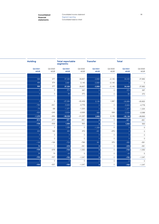**financial statements**

| <b>Holding</b>  |                 | <b>Total reportable</b><br>segments |                 | <b>Transfer</b>        |                 | <b>Total</b>           |                            |
|-----------------|-----------------|-------------------------------------|-----------------|------------------------|-----------------|------------------------|----------------------------|
| Q3/2021<br>kEUR | Q3/2020<br>kEUR | Q3/2021<br>kEUR                     | Q3/2020<br>kEUR | Q3/2021<br><b>kEUR</b> | Q3/2020<br>kEUR | Q3/2021<br><b>kEUR</b> | Q3/2020<br>$\mathsf{kEUR}$ |
|                 |                 |                                     |                 |                        |                 |                        |                            |
| 566             | 377             | 37,330                              | 29,807          | $-2,890$               | $-2,145$        | 34,440                 | 27,662                     |
| 466             | 374             | 2,891                               | 2,145           | $-2,890$               | $-2,145$        | $\Omega$               | $\circ$                    |
| 566             | 377             | 37,330                              | 29,807          | $-2,890$               | $-2,145$        | 34,440                 | 27,662                     |
|                 | $\circ$         | 272                                 | 297             | $\cap$                 | $\circ$         | 272                    | 297                        |
|                 | $\circ$         | 65                                  | 272             | $\cap$                 | $\circ$         | 65                     | 272                        |
|                 |                 |                                     |                 |                        |                 |                        |                            |
|                 | $\circ$         | $-27,084$                           | $-22,409$       | 2,195                  | 1,587           | $-24,889$              | $-20,822$                  |
| $-784$          | $-641$          | $-5,943$                            | $-4,778$        |                        | $\circ$         | $-5,943$               | $-4,778$                   |
| $-75$           | $-68$           | $-1,377$                            | $-1,224$        | $\cap$                 | $\circ$         | $-1,377$               | $-1,224$                   |
| $-520$          | $-245$          | $-3,634$                            | $-2,626$        | 695                    | 558             | $-2,939$               | $-2,068$                   |
| $-1,379$        | $-954$          | $-38,038$                           | $-31,037$       | 2,890                  | 2,145           | $-35,148$              | $-28,893$                  |
| $-813$          | $-577$          | $-371$                              | $-661$          | $\overline{0}$         | $\overline{0}$  | $-371$                 | $-661$                     |
| $-738$          | $-509$          | 1,006                               | 563             | $\Omega$               | $\circ$         | 1,006                  | 563                        |
|                 | $\circ$         | 1,299                               | $\circ$         | $-1,299$               | $\circ$         | $\Omega$               | $\circ$                    |
| 223             | 195             | 345                                 | 375             | $-341$                 | $-375$          |                        | $\circ$                    |
|                 | $\circ$         | $\Omega$                            | $\mathsf{O}$    |                        | $\circ$         | $\cap$                 | $\mathsf{O}$               |
|                 | $\circ$         | $\Omega$                            | $\circ$         | $\Omega$               | $\circ$         | $\Omega$               | $\circ$                    |
| $-149$          | $-194$          | $-723$                              | $-766$          | 341                    | 375             | $-382$                 | $-391$                     |
| 74              | $\overline{1}$  | $-378$                              | $-391$          | $\Omega$               | $\circ$         | $-378$                 | $-391$                     |
| $-739$          | $-576$          | $-749$                              | $-1,052$        | $\mathbf{0}$           | $\overline{0}$  | $-749$                 | $-1,052$                   |
| 36              | 19              | $-43$                               | 5               |                        | $\circ$         | $-43$                  | $\,$ 5 $\,$                |
| $-703$          | $-557$          | $-792$                              | $-1,047$        | $\Omega$               | $\circ$         | $-792$                 | $-1,047$                   |
|                 | $\circ$         | $-9$                                | $\circ$         |                        | $\circ$         | $-9$                   | $\circ$                    |
| $-703$          | $-557$          | $-783$                              | $-1,047$        | $\Omega$               | $\circ$         | $-783$                 | $-1,047$                   |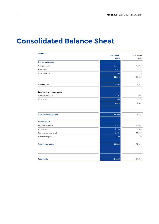# **Consolidated Balance Sheet**

| <b>Assets</b>                   |                           |                    |
|---------------------------------|---------------------------|--------------------|
|                                 | 30/09/2021<br><b>kEUR</b> | 31/12/2020<br>kEUR |
| <b>Non-current assets</b>       |                           |                    |
| Intangible assets               | 67,111                    | 47,930             |
| Fixed assets                    | 5,214                     | 5,117              |
| Financial assets                | 288                       | 216                |
|                                 | 72,613                    | 53,263             |
| Deferred taxes                  | 3,202                     | 3,552              |
| Long-term non-current assets    |                           |                    |
| Accounts receivable             | 1,124                     | 891                |
| Other assets                    | 896                       | 1,746              |
|                                 | 2,020                     | 2,637              |
|                                 |                           |                    |
| <b>Total non-current assets</b> | 77,835                    | 59,452             |
| <b>Current assets</b>           |                           |                    |
| Accounts receivable             | 14,274                    | 18,364             |
| Other assets                    | 2,258                     | 1,838              |
| Cash and cash equivalents       | 9,521                     | 11,718             |
| Deferred charges                | 499                       | 419                |
| <b>Total current assets</b>     | 26,552                    | 32,339             |
|                                 |                           |                    |
| <b>Total assets</b>             | 104,387                   | 91,791             |
|                                 |                           |                    |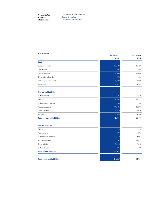**financial statements**

**Consolidated 13** Consolidated income statement Segment reporting Consolidated balance sheet

| <b>Liabilities</b>                   |                           |                    |
|--------------------------------------|---------------------------|--------------------|
|                                      | 30/09/2021<br><b>kEUR</b> | 31/12/2020<br>kEUR |
|                                      |                           |                    |
| <b>Equity</b>                        |                           |                    |
| Subscribed capital                   | 13,128                    | 13,128             |
| Own Shares                           | $-505$                    | $-505$             |
| Capital reserves                     | 19,064                    | 19,064             |
| Other retained earnings              | 423                       | 423                |
| Other equity components              | $-4,633$                  | $-4,822$           |
| <b>Total equity</b>                  | 27,477                    | 27,288             |
| <b>Non-current liabilities</b>       |                           |                    |
| Deferred taxes                       | 7,197                     | 4,140              |
| <b>Bonds</b>                         | 19,452                    | 19,337             |
| Liabilities due to banks             | 30                        | 33                 |
| Accounts payable                     | 11,135                    | 10,280             |
| Other liabilities                    | 3,542                     | 3,636              |
| Accruals                             | 1,643                     | 1,240              |
| <b>Total non-current liabilities</b> | 42,999                    | 38,666             |
| <b>Current liabilities</b>           |                           |                    |
| <b>Bonds</b>                         | $\overline{0}$            | $\circ$            |
| Accrued taxes                        | 497                       | 284                |
| Liabilities due to banks             | 1,112                     | 1,067              |
| Accounts payable                     | 16,161                    | 19,872             |
| Other liabilites                     | 15,446                    | 4,545              |
| Deferred income                      | 695                       | 69                 |
| <b>Total current liabilities</b>     | 33,911                    | 25,837             |
| <b>Total equity and liabilities</b>  | 104,387                   | 91,791             |